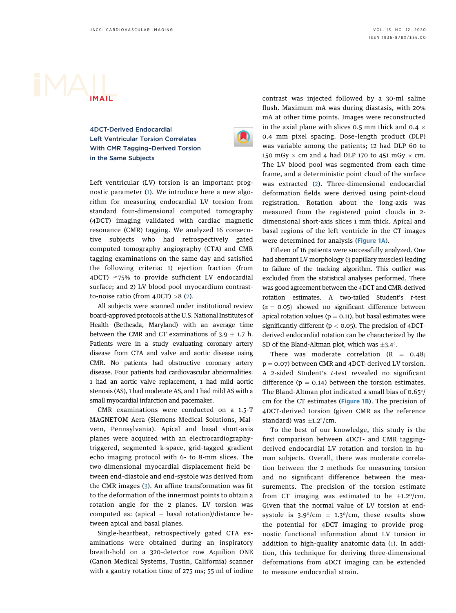## iMAIL

4DCT-Derived Endocardial Left Ventricular Torsion Correlates With CMR Tagging–Derived Torsion in the Same Subjects



Left ventricular (LV) torsion is an important prognostic parameter (1). We introduce here a new algorithm for measuring endocardial LV torsion from standard four-dimensional computed tomography (4DCT) imaging validated with cardiac magnetic resonance (CMR) tagging. We analyzed 16 consecutive subjects who had retrospectively gated computed tomography angiography (CTA) and CMR tagging examinations on the same day and satisfied the following criteria: 1) ejection fraction (from  $4DCT$ )  $\leq$ 75% to provide sufficient LV endocardial surface; and 2) LV blood pool–myocardium contrastto-noise ratio (from  $4DCT$ ) >8 (2).

All subjects were scanned under institutional review board–approved protocols at the U.S. National Institutes of Health (Bethesda, Maryland) with an average time between the CMR and CT examinations of  $3.9 \pm 1.7$  h. Patients were in a study evaluating coronary artery disease from CTA and valve and aortic disease using CMR. No patients had obstructive coronary artery disease. Four patients had cardiovascular abnormalities: 1 had an aortic valve replacement, 1 had mild aortic stenosis (AS), 1 had moderate AS, and 1 had mild AS with a small myocardial infarction and pacemaker.

CMR examinations were conducted on a 1.5-T MAGNETOM Aera (Siemens Medical Solutions, Malvern, Pennsylvania). Apical and basal short-axis planes were acquired with an electrocardiographytriggered, segmented k-space, grid-tagged gradient echo imaging protocol with 6- to 8-mm slices. The two-dimensional myocardial displacement field between end-diastole and end-systole was derived from the CMR images (3). An affine transformation was fit to the deformation of the innermost points to obtain a rotation angle for the 2 planes. LV torsion was computed as: (apical  $-$  basal rotation)/distance between apical and basal planes.

Single-heartbeat, retrospectively gated CTA examinations were obtained during an inspiratory breath-hold on a 320-detector row Aquilion ONE (Canon Medical Systems, Tustin, California) scanner with a gantry rotation time of 275 ms; 55 ml of iodine

contrast was injected followed by a 30-ml saline flush. Maximum mA was during diastasis, with 20% mA at other time points. Images were reconstructed in the axial plane with slices 0.5 mm thick and 0.4  $\times$ 0.4 mm pixel spacing. Dose–length product (DLP) was variable among the patients; 12 had DLP 60 to 150 mGy  $\times$  cm and 4 had DLP 170 to 451 mGy  $\times$  cm. The LV blood pool was segmented from each time frame, and a deterministic point cloud of the surface was extracted (2). Three-dimensional endocardial deformation fields were derived using point-cloud registration. Rotation about the long-axis was measured from the registered point clouds in 2 dimensional short-axis slices 1 mm thick. Apical and basal regions of the left ventricle in the CT images were determined for analysis (Figure 1A).

Fifteen of 16 patients were successfully analyzed. One had aberrant LV morphology (3 papillary muscles) leading to failure of the tracking algorithm. This outlier was excluded from the statistical analyses performed. There was good agreement between the 4DCT and CMR-derived rotation estimates. A two-tailed Student's t-test  $(\alpha = 0.05)$  showed no significant difference between apical rotation values ( $p = 0.11$ ), but basal estimates were significantly different ( $p < 0.05$ ). The precision of 4DCTderived endocardial rotation can be characterized by the SD of the Bland-Altman plot, which was  $\pm$ 3.4°.

There was moderate correlation  $(R = 0.48;$  $p = 0.07$ ) between CMR and 4DCT-derived LV torsion. A 2-sided Student's t-test revealed no significant difference ( $p = 0.14$ ) between the torsion estimates. The Bland-Altman plot indicated a small bias of  $0.65^{\circ}/$ cm for the CT estimates (Figure 1B). The precision of 4DCT-derived torsion (given CMR as the reference standard) was  $\pm$ 1.2 $\degree$ /cm.

To the best of our knowledge, this study is the first comparison between 4DCT- and CMR tagging– derived endocardial LV rotation and torsion in human subjects. Overall, there was moderate correlation between the 2 methods for measuring torsion and no significant difference between the measurements. The precision of the torsion estimate from CT imaging was estimated to be  $\pm 1.2^{\circ}/\text{cm}$ . Given that the normal value of LV torsion at endsystole is  $3.9^{\circ}/\text{cm} \pm 1.3^{\circ}/\text{cm}$ , these results show the potential for 4DCT imaging to provide prognostic functional information about LV torsion in addition to high-quality anatomic data (1). In addition, this technique for deriving three-dimensional deformations from 4DCT imaging can be extended to measure endocardial strain.